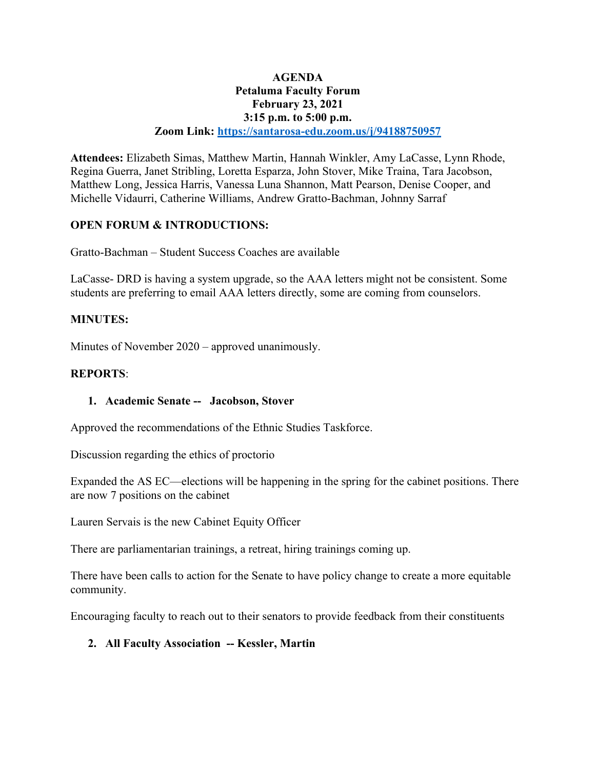### **AGENDA Petaluma Faculty Forum February 23, 2021 3:15 p.m. to 5:00 p.m. Zoom Link: https://santarosa-edu.zoom.us/j/94188750957**

**Attendees:** Elizabeth Simas, Matthew Martin, Hannah Winkler, Amy LaCasse, Lynn Rhode, Regina Guerra, Janet Stribling, Loretta Esparza, John Stover, Mike Traina, Tara Jacobson, Matthew Long, Jessica Harris, Vanessa Luna Shannon, Matt Pearson, Denise Cooper, and Michelle Vidaurri, Catherine Williams, Andrew Gratto-Bachman, Johnny Sarraf

# **OPEN FORUM & INTRODUCTIONS:**

Gratto-Bachman – Student Success Coaches are available

LaCasse- DRD is having a system upgrade, so the AAA letters might not be consistent. Some students are preferring to email AAA letters directly, some are coming from counselors.

### **MINUTES:**

Minutes of November 2020 – approved unanimously.

#### **REPORTS**:

### **1. Academic Senate -- Jacobson, Stover**

Approved the recommendations of the Ethnic Studies Taskforce.

Discussion regarding the ethics of proctorio

Expanded the AS EC—elections will be happening in the spring for the cabinet positions. There are now 7 positions on the cabinet

Lauren Servais is the new Cabinet Equity Officer

There are parliamentarian trainings, a retreat, hiring trainings coming up.

There have been calls to action for the Senate to have policy change to create a more equitable community.

Encouraging faculty to reach out to their senators to provide feedback from their constituents

### **2. All Faculty Association -- Kessler, Martin**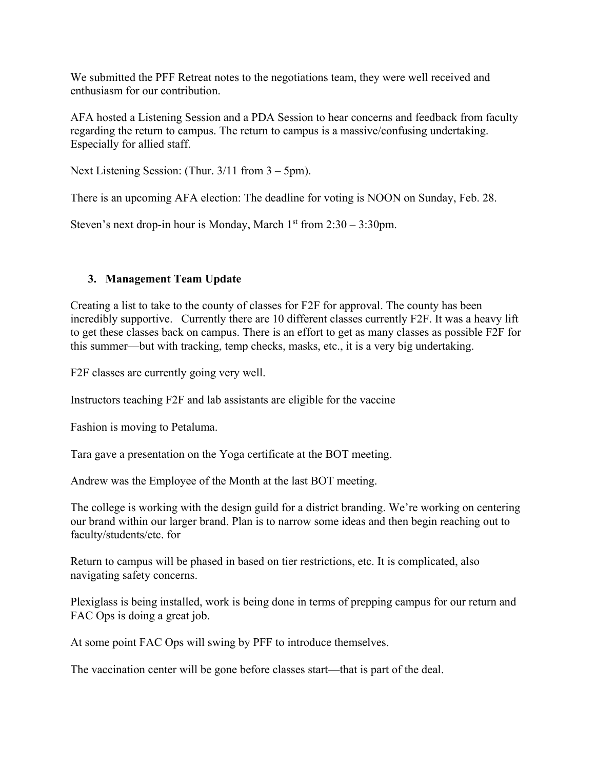We submitted the PFF Retreat notes to the negotiations team, they were well received and enthusiasm for our contribution.

AFA hosted a Listening Session and a PDA Session to hear concerns and feedback from faculty regarding the return to campus. The return to campus is a massive/confusing undertaking. Especially for allied staff.

Next Listening Session: (Thur. 3/11 from 3 – 5pm).

There is an upcoming AFA election: The deadline for voting is NOON on Sunday, Feb. 28.

Steven's next drop-in hour is Monday, March  $1<sup>st</sup>$  from  $2:30 - 3:30$ pm.

# **3. Management Team Update**

Creating a list to take to the county of classes for F2F for approval. The county has been incredibly supportive. Currently there are 10 different classes currently F2F. It was a heavy lift to get these classes back on campus. There is an effort to get as many classes as possible F2F for this summer—but with tracking, temp checks, masks, etc., it is a very big undertaking.

F2F classes are currently going very well.

Instructors teaching F2F and lab assistants are eligible for the vaccine

Fashion is moving to Petaluma.

Tara gave a presentation on the Yoga certificate at the BOT meeting.

Andrew was the Employee of the Month at the last BOT meeting.

The college is working with the design guild for a district branding. We're working on centering our brand within our larger brand. Plan is to narrow some ideas and then begin reaching out to faculty/students/etc. for

Return to campus will be phased in based on tier restrictions, etc. It is complicated, also navigating safety concerns.

Plexiglass is being installed, work is being done in terms of prepping campus for our return and FAC Ops is doing a great job.

At some point FAC Ops will swing by PFF to introduce themselves.

The vaccination center will be gone before classes start—that is part of the deal.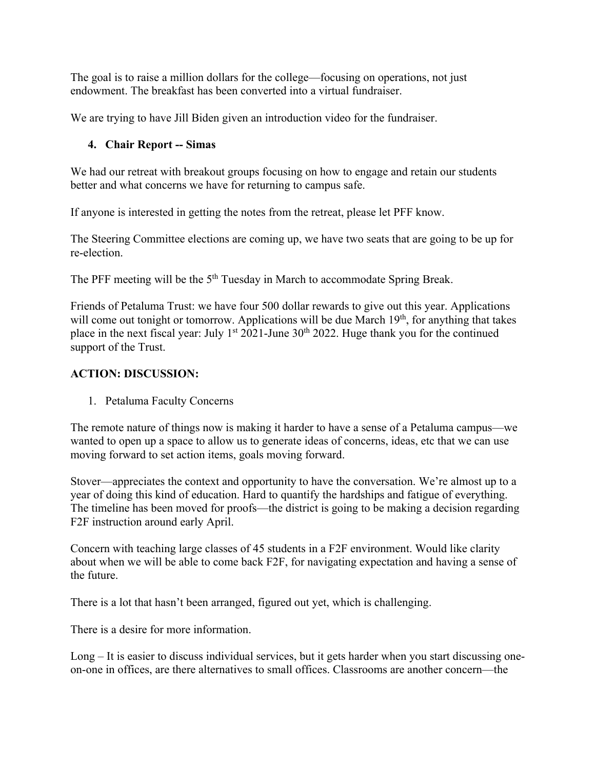The goal is to raise a million dollars for the college—focusing on operations, not just endowment. The breakfast has been converted into a virtual fundraiser.

We are trying to have Jill Biden given an introduction video for the fundraiser.

# **4. Chair Report -- Simas**

We had our retreat with breakout groups focusing on how to engage and retain our students better and what concerns we have for returning to campus safe.

If anyone is interested in getting the notes from the retreat, please let PFF know.

The Steering Committee elections are coming up, we have two seats that are going to be up for re-election.

The PFF meeting will be the 5<sup>th</sup> Tuesday in March to accommodate Spring Break.

Friends of Petaluma Trust: we have four 500 dollar rewards to give out this year. Applications will come out tonight or tomorrow. Applications will be due March  $19<sup>th</sup>$ , for anything that takes place in the next fiscal year: July 1<sup>st</sup> 2021-June 30<sup>th</sup> 2022. Huge thank you for the continued support of the Trust.

# **ACTION: DISCUSSION:**

1. Petaluma Faculty Concerns

The remote nature of things now is making it harder to have a sense of a Petaluma campus—we wanted to open up a space to allow us to generate ideas of concerns, ideas, etc that we can use moving forward to set action items, goals moving forward.

Stover—appreciates the context and opportunity to have the conversation. We're almost up to a year of doing this kind of education. Hard to quantify the hardships and fatigue of everything. The timeline has been moved for proofs—the district is going to be making a decision regarding F2F instruction around early April.

Concern with teaching large classes of 45 students in a F2F environment. Would like clarity about when we will be able to come back F2F, for navigating expectation and having a sense of the future.

There is a lot that hasn't been arranged, figured out yet, which is challenging.

There is a desire for more information.

Long – It is easier to discuss individual services, but it gets harder when you start discussing oneon-one in offices, are there alternatives to small offices. Classrooms are another concern—the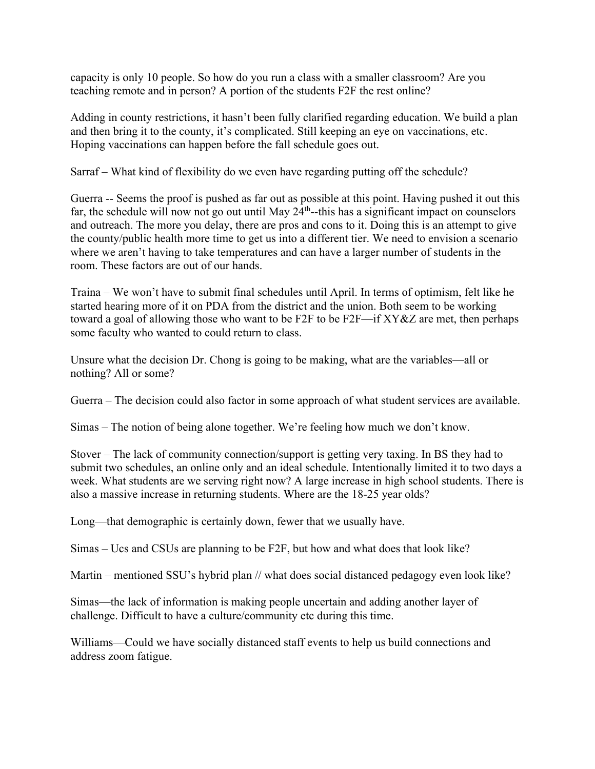capacity is only 10 people. So how do you run a class with a smaller classroom? Are you teaching remote and in person? A portion of the students F2F the rest online?

Adding in county restrictions, it hasn't been fully clarified regarding education. We build a plan and then bring it to the county, it's complicated. Still keeping an eye on vaccinations, etc. Hoping vaccinations can happen before the fall schedule goes out.

Sarraf – What kind of flexibility do we even have regarding putting off the schedule?

Guerra -- Seems the proof is pushed as far out as possible at this point. Having pushed it out this far, the schedule will now not go out until May  $24<sup>th</sup>$ -this has a significant impact on counselors and outreach. The more you delay, there are pros and cons to it. Doing this is an attempt to give the county/public health more time to get us into a different tier. We need to envision a scenario where we aren't having to take temperatures and can have a larger number of students in the room. These factors are out of our hands.

Traina – We won't have to submit final schedules until April. In terms of optimism, felt like he started hearing more of it on PDA from the district and the union. Both seem to be working toward a goal of allowing those who want to be F2F to be F2F—if XY&Z are met, then perhaps some faculty who wanted to could return to class.

Unsure what the decision Dr. Chong is going to be making, what are the variables—all or nothing? All or some?

Guerra – The decision could also factor in some approach of what student services are available.

Simas – The notion of being alone together. We're feeling how much we don't know.

Stover – The lack of community connection/support is getting very taxing. In BS they had to submit two schedules, an online only and an ideal schedule. Intentionally limited it to two days a week. What students are we serving right now? A large increase in high school students. There is also a massive increase in returning students. Where are the 18-25 year olds?

Long—that demographic is certainly down, fewer that we usually have.

Simas – Ucs and CSUs are planning to be F2F, but how and what does that look like?

Martin – mentioned SSU's hybrid plan // what does social distanced pedagogy even look like?

Simas—the lack of information is making people uncertain and adding another layer of challenge. Difficult to have a culture/community etc during this time.

Williams—Could we have socially distanced staff events to help us build connections and address zoom fatigue.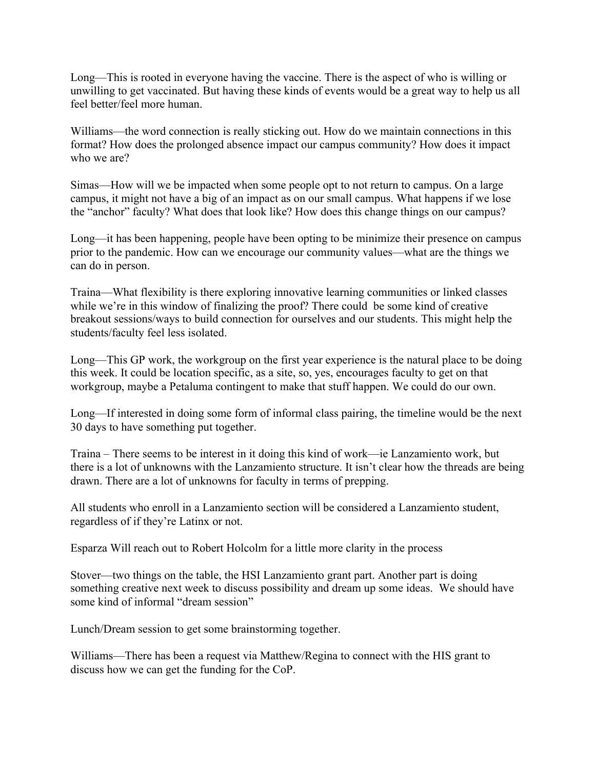Long—This is rooted in everyone having the vaccine. There is the aspect of who is willing or unwilling to get vaccinated. But having these kinds of events would be a great way to help us all feel better/feel more human.

Williams—the word connection is really sticking out. How do we maintain connections in this format? How does the prolonged absence impact our campus community? How does it impact who we are?

Simas—How will we be impacted when some people opt to not return to campus. On a large campus, it might not have a big of an impact as on our small campus. What happens if we lose the "anchor" faculty? What does that look like? How does this change things on our campus?

Long—it has been happening, people have been opting to be minimize their presence on campus prior to the pandemic. How can we encourage our community values—what are the things we can do in person.

Traina—What flexibility is there exploring innovative learning communities or linked classes while we're in this window of finalizing the proof? There could be some kind of creative breakout sessions/ways to build connection for ourselves and our students. This might help the students/faculty feel less isolated.

Long—This GP work, the workgroup on the first year experience is the natural place to be doing this week. It could be location specific, as a site, so, yes, encourages faculty to get on that workgroup, maybe a Petaluma contingent to make that stuff happen. We could do our own.

Long—If interested in doing some form of informal class pairing, the timeline would be the next 30 days to have something put together.

Traina – There seems to be interest in it doing this kind of work—ie Lanzamiento work, but there is a lot of unknowns with the Lanzamiento structure. It isn't clear how the threads are being drawn. There are a lot of unknowns for faculty in terms of prepping.

All students who enroll in a Lanzamiento section will be considered a Lanzamiento student, regardless of if they're Latinx or not.

Esparza Will reach out to Robert Holcolm for a little more clarity in the process

Stover—two things on the table, the HSI Lanzamiento grant part. Another part is doing something creative next week to discuss possibility and dream up some ideas. We should have some kind of informal "dream session"

Lunch/Dream session to get some brainstorming together.

Williams—There has been a request via Matthew/Regina to connect with the HIS grant to discuss how we can get the funding for the CoP.